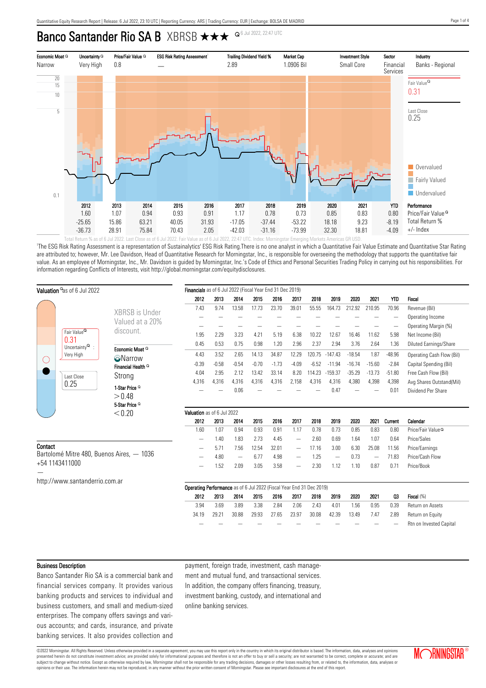# Banco Santander Rio SA B XBRSB  $\star \star \star$  <sup>Q 6 Jul 2022, 22:47 UTC</sup>



'The ESG Risk Rating Assessment is a representation of Sustainalytics' ESG Risk Rating.There is no one analyst in which a Quantitative Fair Value Estimate and Quantitative Star Rating are attributed to; however, Mr. Lee Davidson, Head of Quantitative Research for Morningstar, Inc., is responsible for overseeing the methodology that supports the quantitative fair value. As an employee of Morningstar, Inc., Mr. Davidson is guided by Morningstar, Inc.'s Code of Ethics and Personal Securities Trading Policy in carrying out his responsibilities. For information regarding Conflicts of Interests, visit http://global.morningstar.com/equitydisclosures.

|                                                             | Valuation as of 6 Jul 2022                                                                          |                                                                             | Financials as of 6 Jul 2022 (Fiscal Year End 31 Dec 2019) |         |                          |         |         |                          |         |                          |          |                   |          |                               |
|-------------------------------------------------------------|-----------------------------------------------------------------------------------------------------|-----------------------------------------------------------------------------|-----------------------------------------------------------|---------|--------------------------|---------|---------|--------------------------|---------|--------------------------|----------|-------------------|----------|-------------------------------|
|                                                             |                                                                                                     |                                                                             | 2012                                                      | 2013    | 2014                     | 2015    | 2016    | 2017                     | 2018    | 2019                     | 2020     | 2021              | YTD      | <b>Fiscal</b>                 |
|                                                             |                                                                                                     | XBRSB is Under                                                              | 7.43                                                      | 9.74    | 13.58                    | 17.73   | 23.70   | 39.01                    | 55.55   | 164.73                   | 212.92   | 210.95            | 70.96    | Revenue (Bil)                 |
|                                                             |                                                                                                     |                                                                             |                                                           |         |                          |         |         |                          |         |                          |          |                   |          | Operating Income              |
|                                                             |                                                                                                     | Valued at a 20%                                                             |                                                           |         |                          |         |         |                          |         |                          |          |                   |          | Operating Margin (%)          |
|                                                             | Fair Value <sup>Q</sup><br>0.31<br>Uncertainty $^{\mathsf{Q}}$ :<br>Very High<br>Last Close<br>0.25 | discount.                                                                   | 1.95                                                      | 2.29    | 3.23                     | 4.21    | 5.19    | 6.38                     | 10.22   | 12.67                    | 16.46    | 11.62             | 5.98     | Net Income (Bil)              |
|                                                             |                                                                                                     |                                                                             | 0.45                                                      | 0.53    | 0.75                     | 0.98    | 1.20    | 2.96                     | 2.37    | 2.94                     | 3.76     | 2.64              | 1.36     | <b>Diluted Earnings/Share</b> |
| ( )                                                         |                                                                                                     | Economic Moat <sup>Q</sup>                                                  | 4.43                                                      | 3.52    | 2.65                     | 14.13   | 34.87   | 12.29                    | 120.75  | $-147.43$                | $-18.54$ | 1.87              | $-48.96$ | Operating Cash Flow (Bil)     |
|                                                             |                                                                                                     | <b>O</b> Narrow                                                             | $-0.39$                                                   | $-0.58$ | $-0.54$                  | $-0.70$ | $-1.73$ | $-4.09$                  | $-6.52$ | $-11.94$                 | $-16.74$ | $-15.60$          | $-2.84$  | Capital Spending (Bil)        |
|                                                             |                                                                                                     | Financial Health <sup>Q</sup>                                               | 4.04                                                      | 2.95    | 2.12                     | 13.42   | 33.14   | 8.20                     | 114.23  | $-159.37$                | $-35.29$ | $-13.73$          | $-51.80$ | Free Cash Flow (Bil)          |
|                                                             |                                                                                                     | Strong                                                                      | 4,316                                                     | 4,316   | 4,316                    | 4,316   | 4,316   | 2,158                    | 4,316   | 4,316                    | 4,380    | 4,398             | 4,398    | Avg Shares Outstand(Mil)      |
|                                                             |                                                                                                     | 1-Star Price <sup>Q</sup>                                                   |                                                           |         | 0.06                     |         |         |                          |         | 0.47                     |          |                   | 0.01     | Dividend Per Share            |
|                                                             |                                                                                                     | > 0.48                                                                      |                                                           |         |                          |         |         |                          |         |                          |          |                   |          |                               |
|                                                             |                                                                                                     | 5 Star Price <sup>Q</sup>                                                   |                                                           |         |                          |         |         |                          |         |                          |          |                   |          |                               |
|                                                             |                                                                                                     | < 0.20                                                                      | Valuation as of 6 Jul 2022                                |         |                          |         |         |                          |         |                          |          |                   |          |                               |
|                                                             |                                                                                                     |                                                                             | 2012                                                      | 2013    | 2014                     | 2015    | 2016    | 2017                     | 2018    | 2019                     | 2020     | 2021              | Current  | Calendar                      |
|                                                             |                                                                                                     |                                                                             | 1.60                                                      | 1.07    | 0.94                     | 0.93    | 0.91    | 1.17                     | 0.78    | 0.73                     | 0.85     | 0.83              | 0.80     | Price/Fair Value <sup>Q</sup> |
|                                                             |                                                                                                     |                                                                             | -                                                         | 1.40    | 1.83                     | 2.73    | 4.45    | $\qquad \qquad$          | 2.60    | 0.69                     | 1.64     | 1.07              | 0.64     | Price/Sales                   |
| Contact                                                     |                                                                                                     |                                                                             |                                                           | 5.71    | 7.56                     | 12.54   | 32.01   | $\qquad \qquad -$        | 17.16   | 3.00                     | 6.30     | 25.08             | 11.56    | Price/Earnings                |
| Bartolomé Mitre 480, Buenos Aires, - 1036<br>+54 1143411000 |                                                                                                     |                                                                             |                                                           | 4.80    | $\overline{\phantom{0}}$ | 6.77    | 4.98    |                          | 1.25    | $\overline{\phantom{0}}$ | 0.73     | $\qquad \qquad -$ | 71.83    | Price/Cash Flow               |
|                                                             |                                                                                                     |                                                                             |                                                           | 1.52    | 2.09                     | 3.05    | 3.58    | $\overline{\phantom{0}}$ | 2.30    | 1.12                     | 1.10     | 0.87              | 0.71     | Price/Book                    |
|                                                             |                                                                                                     |                                                                             |                                                           |         |                          |         |         |                          |         |                          |          |                   |          |                               |
|                                                             | http://www.santanderrio.com.ar                                                                      |                                                                             |                                                           |         |                          |         |         |                          |         |                          |          |                   |          |                               |
|                                                             |                                                                                                     | <b>Operating Performance</b> as of 6 Jul 2022 (Fiscal Year End 31 Dec 2019) |                                                           |         |                          |         |         |                          |         |                          |          |                   |          |                               |
|                                                             |                                                                                                     |                                                                             | 2012                                                      | 2013    | 2014                     | 2015    | 2016    | 2017                     | 2018    | 2019                     | 2020     | 2021              | Q3       | Fiscal (%)                    |
|                                                             |                                                                                                     |                                                                             | 3.94                                                      | 3.69    | 3.89                     | 3.38    | 2.84    | 2.06                     | 2.43    | 4.01                     | 1.56     | 0.95              | 0.39     | Return on Assets              |
|                                                             |                                                                                                     |                                                                             | 34.19                                                     | 29.21   | 30.88                    | 29.93   | 27.65   | 23.97                    | 30.08   | 42.39                    | 13.49    | 7.47              | 2.89     | Return on Equity              |
|                                                             |                                                                                                     |                                                                             |                                                           |         |                          |         |         |                          |         |                          |          |                   |          | Rtn on Invested Capital       |

#### Business Description

Banco Santander Rio SA is a commercial bank and financial services company. It provides various banking products and services to individual and business customers, and small and medium-sized enterprises. The company offers savings and various accounts; and cards, insurance, and private banking services. It also provides collection and payment, foreign trade, investment, cash management and mutual fund, and transactional services. In addition, the company offers financing, treasury, investment banking, custody, and international and online banking services.

©2022 Morningstar. All Rights Reserved. Unless otherwise provided in a separate agreement, you may use this report only in the country in which its original distributor is based. The information, data, analyses and opinions presented herein do not constitute investment advice; are provided solely for informational purposes and therefore is not an offer to buy or sell a security; are not warranted to be correct, complete or accurate; and are subject to change without notice. Except as otherwise required by law, Morningstar shall not be responsible for any trading decisions, damages or other losses resulting from, or related to, the information, data, analyses opinions or their use. The information herein may not be reproduced, in any manner without the prior written consent of Morningstar. Please see important disclosures at the end of this report.

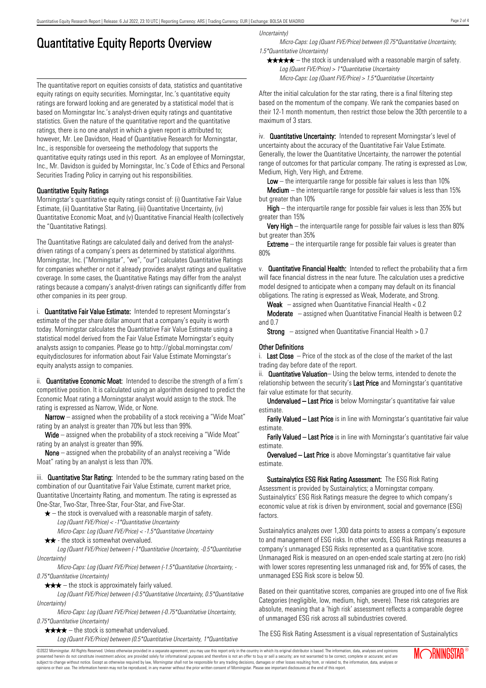# Quantitative Equity Reports Overview

The quantitative report on equities consists of data, statistics and quantitative equity ratings on equity securities. Morningstar, Inc.'s quantitative equity ratings are forward looking and are generated by a statistical model that is based on Morningstar Inc.'s analyst-driven equity ratings and quantitative statistics. Given the nature of the quantitative report and the quantitative ratings, there is no one analyst in which a given report is attributed to; however, Mr. Lee Davidson, Head of Quantitative Research for Morningstar, Inc., is responsible for overseeing the methodology that supports the quantitative equity ratings used in this report. As an employee of Morningstar, Inc., Mr. Davidson is guided by Morningstar, Inc.'s Code of Ethics and Personal Securities Trading Policy in carrying out his responsibilities.

## Quantitative Equity Ratings

Morningstar's quantitative equity ratings consist of: (i) Quantitative Fair Value Estimate, (ii) Quantitative Star Rating, (iii) Quantitative Uncertainty, (iv) Quantitative Economic Moat, and (v) Quantitative Financial Health (collectively the "Quantitative Ratings).

The Quantitative Ratings are calculated daily and derived from the analystdriven ratings of a company's peers as determined by statistical algorithms. Morningstar, Inc. ("Morningstar", "we", "our") calculates Quantitative Ratings for companies whether or not it already provides analyst ratings and qualitative coverage. In some cases, the Quantitative Ratings may differ from the analyst ratings because a company's analyst-driven ratings can significantly differ from other companies in its peer group.

i. **Quantitative Fair Value Estimate:** Intended to represent Morningstar's estimate of the per share dollar amount that a company's equity is worth today. Morningstar calculates the Quantitative Fair Value Estimate using a statistical model derived from the Fair Value Estimate Morningstar's equity analysts assign to companies. Please go to http://global.morningstar.com/ equitydisclosures for information about Fair Value Estimate Morningstar's equity analysts assign to companies.

ii. **Quantitative Economic Moat:** Intended to describe the strength of a firm's competitive position. It is calculated using an algorithm designed to predict the Economic Moat rating a Morningstar analyst would assign to the stock. The rating is expressed as Narrow, Wide, or None.

**Narrow** – assigned when the probability of a stock receiving a "Wide Moat" rating by an analyst is greater than 70% but less than 99%.

Wide – assigned when the probability of a stock receiving a "Wide Moat" rating by an analyst is greater than 99%.

None – assigned when the probability of an analyst receiving a "Wide Moat" rating by an analyst is less than 70%.

iii. **Quantitative Star Rating:** Intended to be the summary rating based on the combination of our Quantitative Fair Value Estimate, current market price, Quantitative Uncertainty Rating, and momentum. The rating is expressed as One-Star, Two-Star, Three-Star, Four-Star, and Five-Star.

- $\star$  the stock is overvalued with a reasonable margin of safety. Log (Quant FVE/Price) < -1\*Quantitative Uncertainty
- Micro-Caps: Log (Quant FVE/Price) < -1.5\*Quantitative Uncertainty  $\star \star$  - the stock is somewhat overvalued.

Log (Quant FVE/Price) between (-1\*Quantitative Uncertainty, -0.5\*Quantitative Uncertainty)

Micro-Caps: Log (Quant FVE/Price) between (-1.5\*Quantitative Uncertainty, - 0.75\*Quantitative Uncertainty)

 $\star \star \star$  – the stock is approximately fairly valued.

Log (Quant FVE/Price) between (-0.5\*Quantitative Uncertainty, 0.5\*Quantitative Uncertainty)

Micro-Caps: Log (Quant FVE/Price) between (-0.75\*Quantitative Uncertainty, 0.75\*Quantitative Uncertainty)

 $\star \star \star \star$  – the stock is somewhat undervalued. Log (Quant FVE/Price) between (0.5\*Quantitative Uncertainty, 1\*Quantitative Uncertainty)

Micro-Caps: Log (Quant FVE/Price) between (0.75\*Quantitative Uncertainty, 1.5\*Quantitative Uncertainty)

 $\star \star \star \star$  – the stock is undervalued with a reasonable margin of safety. Log (Quant FVE/Price) > 1\*Quantitative Uncertainty

Micro-Caps: Log (Quant FVE/Price) > 1.5\*Quantitative Uncertainty

After the initial calculation for the star rating, there is a final filtering step based on the momentum of the company. We rank the companies based on their 12-1 month momentum, then restrict those below the 30th percentile to a maximum of 3 stars.

iv. **Quantitative Uncertainty:** Intended to represent Morningstar's level of uncertainty about the accuracy of the Quantitative Fair Value Estimate. Generally, the lower the Quantitative Uncertainty, the narrower the potential range of outcomes for that particular company. The rating is expressed as Low, Medium, High, Very High, and Extreme.

**Low** – the interguartile range for possible fair values is less than  $10\%$ 

**Medium** – the interquartile range for possible fair values is less than  $15\%$ but greater than 10%

High – the interquartile range for possible fair values is less than 35% but greater than 15%

Very High – the interquartile range for possible fair values is less than 80% but greater than 35%

**Extreme** – the interquartile range for possible fair values is greater than 80%

v. Quantitative Financial Health: Intended to reflect the probability that a firm will face financial distress in the near future. The calculation uses a predictive model designed to anticipate when a company may default on its financial obligations. The rating is expressed as Weak, Moderate, and Strong.

**Weak**  $-$  assigned when Quantitative Financial Health  $< 0.2$ 

Moderate – assigned when Quantitative Financial Health is between 0.2 and 0.7

**Strong** – assigned when Quantitative Financial Health  $> 0.7$ 

## Other Definitions

i. Last Close  $-$  Price of the stock as of the close of the market of the last trading day before date of the report.

ii. **Quantitative Valuation**– Using the below terms, intended to denote the relationship between the security's Last Price and Morningstar's quantitative fair value estimate for that security.

Undervalued – Last Price is below Morningstar's quantitative fair value estimate.

Farily Valued – Last Price is in line with Morningstar's quantitative fair value estimate.

Farily Valued – Last Price is in line with Morningstar's quantitative fair value estimate.

Overvalued – Last Price is above Morningstar's quantitative fair value estimate.

Sustainalytics ESG Risk Rating Assessment: The ESG Risk Rating Assessment is provided by Sustainalytics; a Morningstar company. Sustainalytics' ESG Risk Ratings measure the degree to which company's economic value at risk is driven by environment, social and governance (ESG) factors.

Sustainalytics analyzes over 1,300 data points to assess a company's exposure to and management of ESG risks. In other words, ESG Risk Ratings measures a company's unmanaged ESG Risks represented as a quantitative score. Unmanaged Risk is measured on an open-ended scale starting at zero (no risk) with lower scores representing less unmanaged risk and, for 95% of cases, the unmanaged ESG Risk score is below 50.

Based on their quantitative scores, companies are grouped into one of five Risk Categories (negligible, low, medium, high, severe). These risk categories are absolute, meaning that a 'high risk' assessment reflects a comparable degree of unmanaged ESG risk across all subindustries covered.

The ESG Risk Rating Assessment is a visual representation of Sustainalytics

Page 2 of 4

©2022 Morningstar. All Rights Reserved. Unless otherwise provided in a separate agreement, you may use this report only in the country in which its original distributor is based. The information, data, analyses and opinions presented herein do not constitute investment advice; are provided solely for informational purposes and therefore is not an offer to buy or sell a security; are not warranted to be correct, complete or accurate; and are subject to change without notice. Except as otherwise required by law, Morningstar shall not be responsible for any trading decisions, damages or other losses resulting from, or related to, the information, data, analyses or opinions or their use. The information herein may not be reproduced, in any manner without the prior written consent of Morningstar. Please see important disclosures at the end of this report.

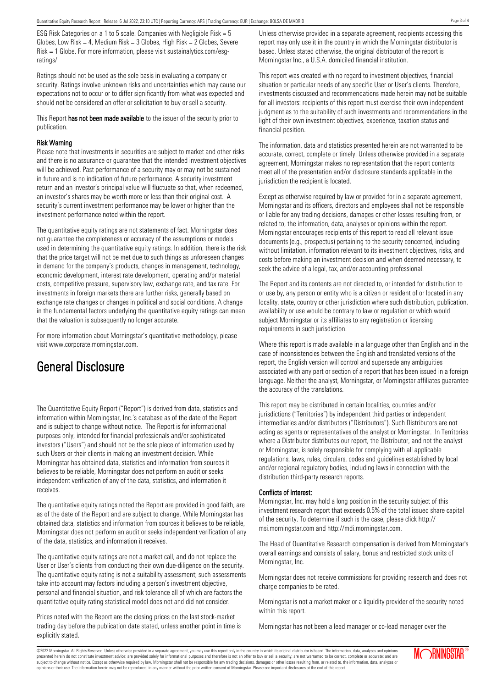ESG Risk Categories on a 1 to 5 scale. Companies with Negligible Risk = 5 Globes, Low Risk = 4, Medium Risk =  $3$  Globes, High Risk =  $2$  Globes, Severe Risk = 1 Globe. For more information, please visit sustainalytics.com/esgratings/

Ratings should not be used as the sole basis in evaluating a company or security. Ratings involve unknown risks and uncertainties which may cause our expectations not to occur or to differ significantly from what was expected and should not be considered an offer or solicitation to buy or sell a security.

This Report has not been made available to the issuer of the security prior to publication.

#### Risk Warning

Please note that investments in securities are subject to market and other risks and there is no assurance or guarantee that the intended investment objectives will be achieved. Past performance of a security may or may not be sustained in future and is no indication of future performance. A security investment return and an investor's principal value will fluctuate so that, when redeemed, an investor's shares may be worth more or less than their original cost. A security's current investment performance may be lower or higher than the investment performance noted within the report.

The quantitative equity ratings are not statements of fact. Morningstar does not guarantee the completeness or accuracy of the assumptions or models used in determining the quantitative equity ratings. In addition, there is the risk that the price target will not be met due to such things as unforeseen changes in demand for the company's products, changes in management, technology, economic development, interest rate development, operating and/or material costs, competitive pressure, supervisory law, exchange rate, and tax rate. For investments in foreign markets there are further risks, generally based on exchange rate changes or changes in political and social conditions. A change in the fundamental factors underlying the quantitative equity ratings can mean that the valuation is subsequently no longer accurate.

For more information about Morningstar's quantitative methodology, please visit www.corporate.morningstar.com.

# General Disclosure

The Quantitative Equity Report ("Report") is derived from data, statistics and information within Morningstar, Inc.'s database as of the date of the Report and is subject to change without notice. The Report is for informational purposes only, intended for financial professionals and/or sophisticated investors ("Users") and should not be the sole piece of information used by such Users or their clients in making an investment decision. While Morningstar has obtained data, statistics and information from sources it believes to be reliable, Morningstar does not perform an audit or seeks independent verification of any of the data, statistics, and information it receives.

The quantitative equity ratings noted the Report are provided in good faith, are as of the date of the Report and are subject to change. While Morningstar has obtained data, statistics and information from sources it believes to be reliable, Morningstar does not perform an audit or seeks independent verification of any of the data, statistics, and information it receives.

The quantitative equity ratings are not a market call, and do not replace the User or User's clients from conducting their own due-diligence on the security. The quantitative equity rating is not a suitability assessment; such assessments take into account may factors including a person's investment objective, personal and financial situation, and risk tolerance all of which are factors the quantitative equity rating statistical model does not and did not consider.

Prices noted with the Report are the closing prices on the last stock-market trading day before the publication date stated, unless another point in time is explicitly stated.

Unless otherwise provided in a separate agreement, recipients accessing this report may only use it in the country in which the Morningstar distributor is based. Unless stated otherwise, the original distributor of the report is Morningstar Inc., a U.S.A. domiciled financial institution.

This report was created with no regard to investment objectives, financial situation or particular needs of any specific User or User's clients. Therefore, investments discussed and recommendations made herein may not be suitable for all investors: recipients of this report must exercise their own independent judgment as to the suitability of such investments and recommendations in the light of their own investment objectives, experience, taxation status and financial position.

The information, data and statistics presented herein are not warranted to be accurate, correct, complete or timely. Unless otherwise provided in a separate agreement, Morningstar makes no representation that the report contents meet all of the presentation and/or disclosure standards applicable in the jurisdiction the recipient is located.

Except as otherwise required by law or provided for in a separate agreement, Morningstar and its officers, directors and employees shall not be responsible or liable for any trading decisions, damages or other losses resulting from, or related to, the information, data, analyses or opinions within the report. Morningstar encourages recipients of this report to read all relevant issue documents (e.g., prospectus) pertaining to the security concerned, including without limitation, information relevant to its investment objectives, risks, and costs before making an investment decision and when deemed necessary, to seek the advice of a legal, tax, and/or accounting professional.

The Report and its contents are not directed to, or intended for distribution to or use by, any person or entity who is a citizen or resident of or located in any locality, state, country or other jurisdiction where such distribution, publication, availability or use would be contrary to law or regulation or which would subject Morningstar or its affiliates to any registration or licensing requirements in such jurisdiction.

Where this report is made available in a language other than English and in the case of inconsistencies between the English and translated versions of the report, the English version will control and supersede any ambiguities associated with any part or section of a report that has been issued in a foreign language. Neither the analyst, Morningstar, or Morningstar affiliates guarantee the accuracy of the translations.

This report may be distributed in certain localities, countries and/or jurisdictions ("Territories") by independent third parties or independent intermediaries and/or distributors ("Distributors"). Such Distributors are not acting as agents or representatives of the analyst or Morningstar. In Territories where a Distributor distributes our report, the Distributor, and not the analyst or Morningstar, is solely responsible for complying with all applicable regulations, laws, rules, circulars, codes and guidelines established by local and/or regional regulatory bodies, including laws in connection with the distribution third-party research reports.

### Conflicts of Interest:

Morningstar, Inc. may hold a long position in the security subject of this investment research report that exceeds 0.5% of the total issued share capital of the security. To determine if such is the case, please click http:// msi.morningstar.com and http://mdi.morningstar.com.

The Head of Quantitative Research compensation is derived from Morningstar's overall earnings and consists of salary, bonus and restricted stock units of Morningstar, Inc.

Morningstar does not receive commissions for providing research and does not charge companies to be rated.

Morningstar is not a market maker or a liquidity provider of the security noted within this report.

Morningstar has not been a lead manager or co-lead manager over the